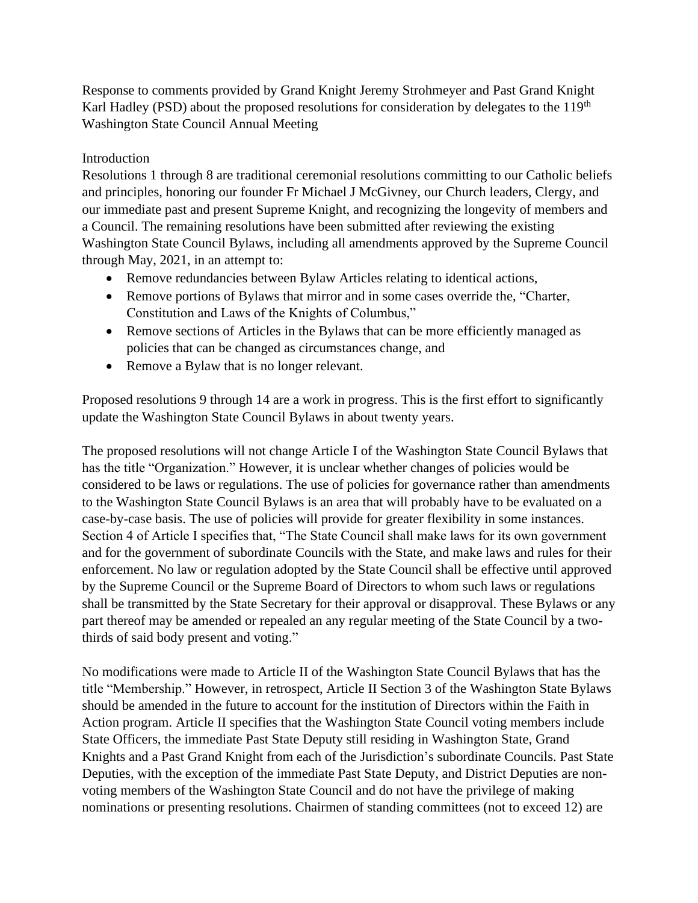Response to comments provided by Grand Knight Jeremy Strohmeyer and Past Grand Knight Karl Hadley (PSD) about the proposed resolutions for consideration by delegates to the 119<sup>th</sup> Washington State Council Annual Meeting

# Introduction

Resolutions 1 through 8 are traditional ceremonial resolutions committing to our Catholic beliefs and principles, honoring our founder Fr Michael J McGivney, our Church leaders, Clergy, and our immediate past and present Supreme Knight, and recognizing the longevity of members and a Council. The remaining resolutions have been submitted after reviewing the existing Washington State Council Bylaws, including all amendments approved by the Supreme Council through May, 2021, in an attempt to:

- Remove redundancies between Bylaw Articles relating to identical actions,
- Remove portions of Bylaws that mirror and in some cases override the, "Charter, Constitution and Laws of the Knights of Columbus,"
- Remove sections of Articles in the Bylaws that can be more efficiently managed as policies that can be changed as circumstances change, and
- Remove a Bylaw that is no longer relevant.

Proposed resolutions 9 through 14 are a work in progress. This is the first effort to significantly update the Washington State Council Bylaws in about twenty years.

The proposed resolutions will not change Article I of the Washington State Council Bylaws that has the title "Organization." However, it is unclear whether changes of policies would be considered to be laws or regulations. The use of policies for governance rather than amendments to the Washington State Council Bylaws is an area that will probably have to be evaluated on a case-by-case basis. The use of policies will provide for greater flexibility in some instances. Section 4 of Article I specifies that, "The State Council shall make laws for its own government and for the government of subordinate Councils with the State, and make laws and rules for their enforcement. No law or regulation adopted by the State Council shall be effective until approved by the Supreme Council or the Supreme Board of Directors to whom such laws or regulations shall be transmitted by the State Secretary for their approval or disapproval. These Bylaws or any part thereof may be amended or repealed an any regular meeting of the State Council by a twothirds of said body present and voting."

No modifications were made to Article II of the Washington State Council Bylaws that has the title "Membership." However, in retrospect, Article II Section 3 of the Washington State Bylaws should be amended in the future to account for the institution of Directors within the Faith in Action program. Article II specifies that the Washington State Council voting members include State Officers, the immediate Past State Deputy still residing in Washington State, Grand Knights and a Past Grand Knight from each of the Jurisdiction's subordinate Councils. Past State Deputies, with the exception of the immediate Past State Deputy, and District Deputies are nonvoting members of the Washington State Council and do not have the privilege of making nominations or presenting resolutions. Chairmen of standing committees (not to exceed 12) are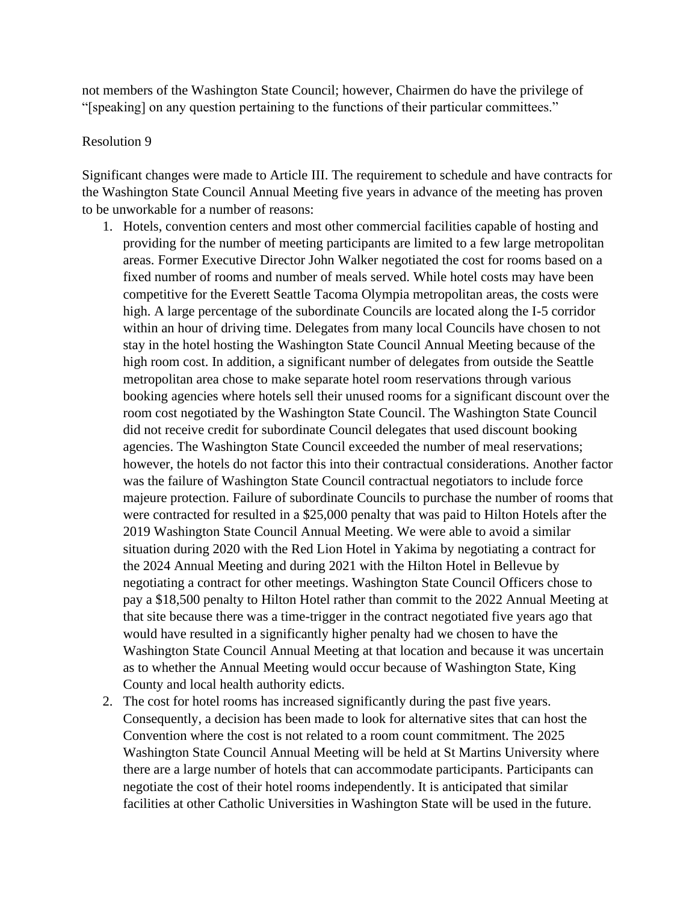not members of the Washington State Council; however, Chairmen do have the privilege of "[speaking] on any question pertaining to the functions of their particular committees."

#### Resolution 9

Significant changes were made to Article III. The requirement to schedule and have contracts for the Washington State Council Annual Meeting five years in advance of the meeting has proven to be unworkable for a number of reasons:

- 1. Hotels, convention centers and most other commercial facilities capable of hosting and providing for the number of meeting participants are limited to a few large metropolitan areas. Former Executive Director John Walker negotiated the cost for rooms based on a fixed number of rooms and number of meals served. While hotel costs may have been competitive for the Everett Seattle Tacoma Olympia metropolitan areas, the costs were high. A large percentage of the subordinate Councils are located along the I-5 corridor within an hour of driving time. Delegates from many local Councils have chosen to not stay in the hotel hosting the Washington State Council Annual Meeting because of the high room cost. In addition, a significant number of delegates from outside the Seattle metropolitan area chose to make separate hotel room reservations through various booking agencies where hotels sell their unused rooms for a significant discount over the room cost negotiated by the Washington State Council. The Washington State Council did not receive credit for subordinate Council delegates that used discount booking agencies. The Washington State Council exceeded the number of meal reservations; however, the hotels do not factor this into their contractual considerations. Another factor was the failure of Washington State Council contractual negotiators to include force majeure protection. Failure of subordinate Councils to purchase the number of rooms that were contracted for resulted in a \$25,000 penalty that was paid to Hilton Hotels after the 2019 Washington State Council Annual Meeting. We were able to avoid a similar situation during 2020 with the Red Lion Hotel in Yakima by negotiating a contract for the 2024 Annual Meeting and during 2021 with the Hilton Hotel in Bellevue by negotiating a contract for other meetings. Washington State Council Officers chose to pay a \$18,500 penalty to Hilton Hotel rather than commit to the 2022 Annual Meeting at that site because there was a time-trigger in the contract negotiated five years ago that would have resulted in a significantly higher penalty had we chosen to have the Washington State Council Annual Meeting at that location and because it was uncertain as to whether the Annual Meeting would occur because of Washington State, King County and local health authority edicts.
- 2. The cost for hotel rooms has increased significantly during the past five years. Consequently, a decision has been made to look for alternative sites that can host the Convention where the cost is not related to a room count commitment. The 2025 Washington State Council Annual Meeting will be held at St Martins University where there are a large number of hotels that can accommodate participants. Participants can negotiate the cost of their hotel rooms independently. It is anticipated that similar facilities at other Catholic Universities in Washington State will be used in the future.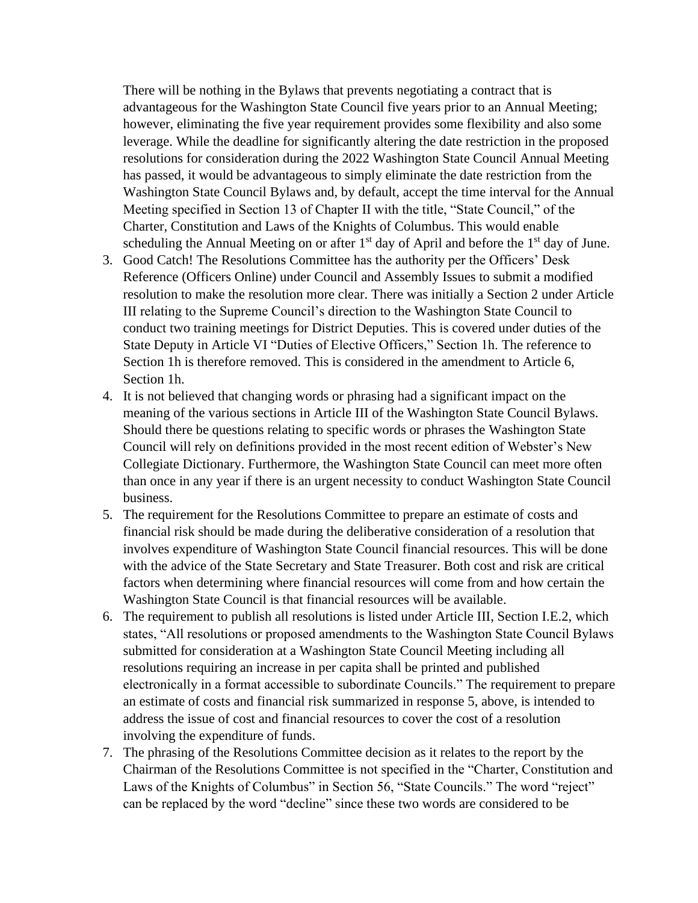There will be nothing in the Bylaws that prevents negotiating a contract that is advantageous for the Washington State Council five years prior to an Annual Meeting; however, eliminating the five year requirement provides some flexibility and also some leverage. While the deadline for significantly altering the date restriction in the proposed resolutions for consideration during the 2022 Washington State Council Annual Meeting has passed, it would be advantageous to simply eliminate the date restriction from the Washington State Council Bylaws and, by default, accept the time interval for the Annual Meeting specified in Section 13 of Chapter II with the title, "State Council," of the Charter, Constitution and Laws of the Knights of Columbus. This would enable scheduling the Annual Meeting on or after  $1<sup>st</sup>$  day of April and before the  $1<sup>st</sup>$  day of June.

- 3. Good Catch! The Resolutions Committee has the authority per the Officers' Desk Reference (Officers Online) under Council and Assembly Issues to submit a modified resolution to make the resolution more clear. There was initially a Section 2 under Article III relating to the Supreme Council's direction to the Washington State Council to conduct two training meetings for District Deputies. This is covered under duties of the State Deputy in Article VI "Duties of Elective Officers," Section 1h. The reference to Section 1h is therefore removed. This is considered in the amendment to Article 6, Section 1h.
- 4. It is not believed that changing words or phrasing had a significant impact on the meaning of the various sections in Article III of the Washington State Council Bylaws. Should there be questions relating to specific words or phrases the Washington State Council will rely on definitions provided in the most recent edition of Webster's New Collegiate Dictionary. Furthermore, the Washington State Council can meet more often than once in any year if there is an urgent necessity to conduct Washington State Council business.
- 5. The requirement for the Resolutions Committee to prepare an estimate of costs and financial risk should be made during the deliberative consideration of a resolution that involves expenditure of Washington State Council financial resources. This will be done with the advice of the State Secretary and State Treasurer. Both cost and risk are critical factors when determining where financial resources will come from and how certain the Washington State Council is that financial resources will be available.
- 6. The requirement to publish all resolutions is listed under Article III, Section I.E.2, which states, "All resolutions or proposed amendments to the Washington State Council Bylaws submitted for consideration at a Washington State Council Meeting including all resolutions requiring an increase in per capita shall be printed and published electronically in a format accessible to subordinate Councils." The requirement to prepare an estimate of costs and financial risk summarized in response 5, above, is intended to address the issue of cost and financial resources to cover the cost of a resolution involving the expenditure of funds.
- 7. The phrasing of the Resolutions Committee decision as it relates to the report by the Chairman of the Resolutions Committee is not specified in the "Charter, Constitution and Laws of the Knights of Columbus" in Section 56, "State Councils." The word "reject" can be replaced by the word "decline" since these two words are considered to be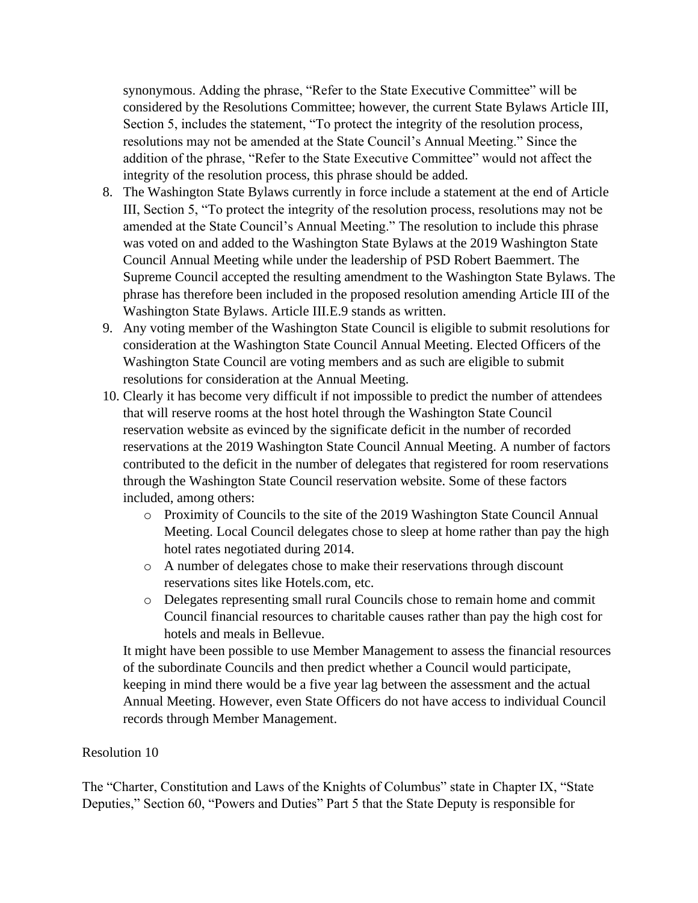synonymous. Adding the phrase, "Refer to the State Executive Committee" will be considered by the Resolutions Committee; however, the current State Bylaws Article III, Section 5, includes the statement, "To protect the integrity of the resolution process, resolutions may not be amended at the State Council's Annual Meeting." Since the addition of the phrase, "Refer to the State Executive Committee" would not affect the integrity of the resolution process, this phrase should be added.

- 8. The Washington State Bylaws currently in force include a statement at the end of Article III, Section 5, "To protect the integrity of the resolution process, resolutions may not be amended at the State Council's Annual Meeting." The resolution to include this phrase was voted on and added to the Washington State Bylaws at the 2019 Washington State Council Annual Meeting while under the leadership of PSD Robert Baemmert. The Supreme Council accepted the resulting amendment to the Washington State Bylaws. The phrase has therefore been included in the proposed resolution amending Article III of the Washington State Bylaws. Article III.E.9 stands as written.
- 9. Any voting member of the Washington State Council is eligible to submit resolutions for consideration at the Washington State Council Annual Meeting. Elected Officers of the Washington State Council are voting members and as such are eligible to submit resolutions for consideration at the Annual Meeting.
- 10. Clearly it has become very difficult if not impossible to predict the number of attendees that will reserve rooms at the host hotel through the Washington State Council reservation website as evinced by the significate deficit in the number of recorded reservations at the 2019 Washington State Council Annual Meeting. A number of factors contributed to the deficit in the number of delegates that registered for room reservations through the Washington State Council reservation website. Some of these factors included, among others:
	- o Proximity of Councils to the site of the 2019 Washington State Council Annual Meeting. Local Council delegates chose to sleep at home rather than pay the high hotel rates negotiated during 2014.
	- o A number of delegates chose to make their reservations through discount reservations sites like Hotels.com, etc.
	- o Delegates representing small rural Councils chose to remain home and commit Council financial resources to charitable causes rather than pay the high cost for hotels and meals in Bellevue.

It might have been possible to use Member Management to assess the financial resources of the subordinate Councils and then predict whether a Council would participate, keeping in mind there would be a five year lag between the assessment and the actual Annual Meeting. However, even State Officers do not have access to individual Council records through Member Management.

#### Resolution 10

The "Charter, Constitution and Laws of the Knights of Columbus" state in Chapter IX, "State Deputies," Section 60, "Powers and Duties" Part 5 that the State Deputy is responsible for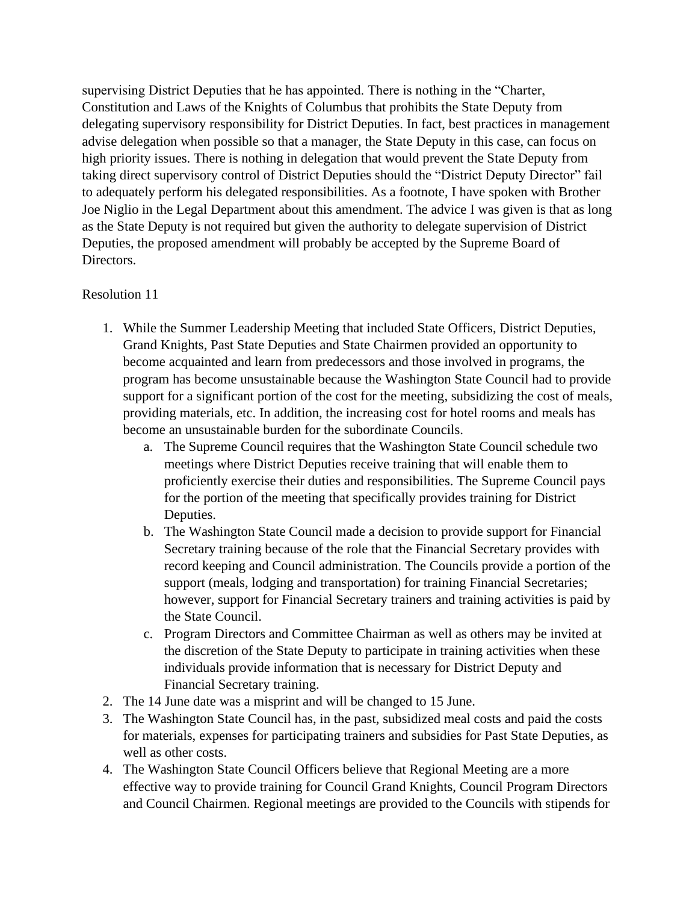supervising District Deputies that he has appointed. There is nothing in the "Charter, Constitution and Laws of the Knights of Columbus that prohibits the State Deputy from delegating supervisory responsibility for District Deputies. In fact, best practices in management advise delegation when possible so that a manager, the State Deputy in this case, can focus on high priority issues. There is nothing in delegation that would prevent the State Deputy from taking direct supervisory control of District Deputies should the "District Deputy Director" fail to adequately perform his delegated responsibilities. As a footnote, I have spoken with Brother Joe Niglio in the Legal Department about this amendment. The advice I was given is that as long as the State Deputy is not required but given the authority to delegate supervision of District Deputies, the proposed amendment will probably be accepted by the Supreme Board of Directors.

# Resolution 11

- 1. While the Summer Leadership Meeting that included State Officers, District Deputies, Grand Knights, Past State Deputies and State Chairmen provided an opportunity to become acquainted and learn from predecessors and those involved in programs, the program has become unsustainable because the Washington State Council had to provide support for a significant portion of the cost for the meeting, subsidizing the cost of meals, providing materials, etc. In addition, the increasing cost for hotel rooms and meals has become an unsustainable burden for the subordinate Councils.
	- a. The Supreme Council requires that the Washington State Council schedule two meetings where District Deputies receive training that will enable them to proficiently exercise their duties and responsibilities. The Supreme Council pays for the portion of the meeting that specifically provides training for District Deputies.
	- b. The Washington State Council made a decision to provide support for Financial Secretary training because of the role that the Financial Secretary provides with record keeping and Council administration. The Councils provide a portion of the support (meals, lodging and transportation) for training Financial Secretaries; however, support for Financial Secretary trainers and training activities is paid by the State Council.
	- c. Program Directors and Committee Chairman as well as others may be invited at the discretion of the State Deputy to participate in training activities when these individuals provide information that is necessary for District Deputy and Financial Secretary training.
- 2. The 14 June date was a misprint and will be changed to 15 June.
- 3. The Washington State Council has, in the past, subsidized meal costs and paid the costs for materials, expenses for participating trainers and subsidies for Past State Deputies, as well as other costs.
- 4. The Washington State Council Officers believe that Regional Meeting are a more effective way to provide training for Council Grand Knights, Council Program Directors and Council Chairmen. Regional meetings are provided to the Councils with stipends for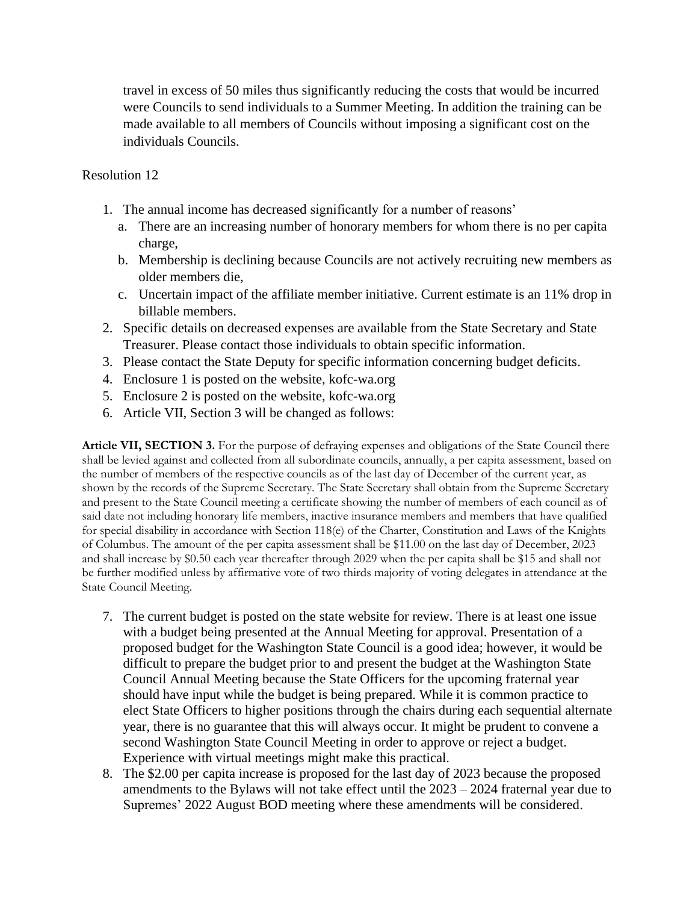travel in excess of 50 miles thus significantly reducing the costs that would be incurred were Councils to send individuals to a Summer Meeting. In addition the training can be made available to all members of Councils without imposing a significant cost on the individuals Councils.

Resolution 12

- 1. The annual income has decreased significantly for a number of reasons'
	- a. There are an increasing number of honorary members for whom there is no per capita charge,
	- b. Membership is declining because Councils are not actively recruiting new members as older members die,
	- c. Uncertain impact of the affiliate member initiative. Current estimate is an 11% drop in billable members.
- 2. Specific details on decreased expenses are available from the State Secretary and State Treasurer. Please contact those individuals to obtain specific information.
- 3. Please contact the State Deputy for specific information concerning budget deficits.
- 4. Enclosure 1 is posted on the website, kofc-wa.org
- 5. Enclosure 2 is posted on the website, kofc-wa.org
- 6. Article VII, Section 3 will be changed as follows:

**Article VII, SECTION 3.** For the purpose of defraying expenses and obligations of the State Council there shall be levied against and collected from all subordinate councils, annually, a per capita assessment, based on the number of members of the respective councils as of the last day of December of the current year, as shown by the records of the Supreme Secretary. The State Secretary shall obtain from the Supreme Secretary and present to the State Council meeting a certificate showing the number of members of each council as of said date not including honorary life members, inactive insurance members and members that have qualified for special disability in accordance with Section 118(e) of the Charter, Constitution and Laws of the Knights of Columbus. The amount of the per capita assessment shall be \$11.00 on the last day of December, 2023 and shall increase by \$0.50 each year thereafter through 2029 when the per capita shall be \$15 and shall not be further modified unless by affirmative vote of two thirds majority of voting delegates in attendance at the State Council Meeting.

- 7. The current budget is posted on the state website for review. There is at least one issue with a budget being presented at the Annual Meeting for approval. Presentation of a proposed budget for the Washington State Council is a good idea; however, it would be difficult to prepare the budget prior to and present the budget at the Washington State Council Annual Meeting because the State Officers for the upcoming fraternal year should have input while the budget is being prepared. While it is common practice to elect State Officers to higher positions through the chairs during each sequential alternate year, there is no guarantee that this will always occur. It might be prudent to convene a second Washington State Council Meeting in order to approve or reject a budget. Experience with virtual meetings might make this practical.
- 8. The \$2.00 per capita increase is proposed for the last day of 2023 because the proposed amendments to the Bylaws will not take effect until the 2023 – 2024 fraternal year due to Supremes' 2022 August BOD meeting where these amendments will be considered.